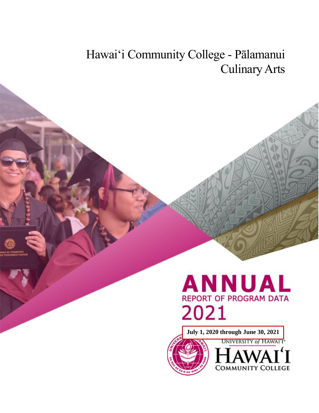# Hawai'i Community College - Pālamanui Culinary Arts



**July 1, 2020 through June 30, 2021**



**UNIVERSITY of HAWAIT COMMUNITY COLLEGE**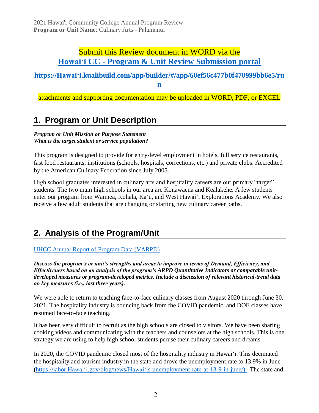# Submit this Review document in WORD via the **Hawaiʻi CC - [Program & Unit Review Submission portal](https://hawaii.kualibuild.com/app/builder/#/app/60ef56c477b0f470999bb6e5/run)**

# **[https://Hawaiʻi.kualibuild.com/app/builder/#/app/60ef56c477b0f470999bb6e5/ru](https://hawaii.kualibuild.com/app/builder/#/app/60ef56c477b0f470999bb6e5/run)**

**[n](https://hawaii.kualibuild.com/app/builder/#/app/60ef56c477b0f470999bb6e5/run)**

attachments and supporting documentation may be uploaded in WORD, PDF, or EXCEL

# **1. Program or Unit Description**

### *Program or Unit Mission or Purpose Statement What is the target student or service population?*

This program is designed to provide for entry-level employment in hotels, full service restaurants, fast food restaurants, institutions (schools, hospitals, corrections, etc.) and private clubs. Accredited by the American Culinary Federation since July 2005.

High school graduates interested in culinary arts and hospitality careers are our primary "target" students. The two main high schools in our area are Konawaena and Kealakehe. A few students enter our program from Waimea, Kohala, Kaʻu, and West Hawaiʻi Explorations Academy. We also receive a few adult students that are changing or starting new culinary career paths.

# **2. Analysis of the Program/Unit**

# [UHCC Annual Report of Program Data \(VARPD\)](https://uhcc.hawaii.edu/varpd/)

*Discuss the program's or unit's strengths and areas to improve in terms of Demand, Efficiency, and Effectiveness based on an analysis of the program's ARPD Quantitative Indicators or comparable unitdeveloped measures or program-developed metrics. Include a discussion of relevant historical-trend data on key measures (i.e., last three years).* 

We were able to return to teaching face-to-face culinary classes from August 2020 through June 30, 2021. The hospitality industry is bouncing back from the COVID pandemic, and DOE classes have resumed face-to-face teaching.

It has been very difficult to recruit as the high schools are closed to visitors. We have been sharing cooking videos and communicating with the teachers and counselors at the high schools. This is one strategy we are using to help high school students peruse their culinary careers and dreams.

In 2020, the COVID pandemic closed most of the hospitality industry in Hawai'i. This decimated the hospitality and tourism industry in the state and drove the unemployment rate to 13.9% in June [\(https://labor.Hawaiʻi.gov/blog/news/Hawaiʻis-unemployment-rate-at-13-9-in-june/\)](https://labor.hawaii.gov/blog/news/hawaiis-unemployment-rate-at-13-9-in-june/). The state and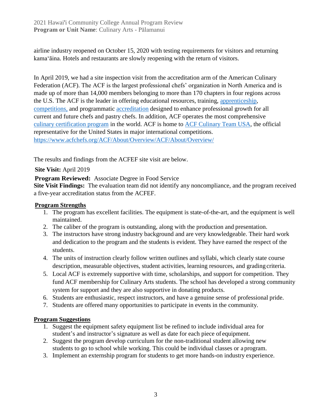airline industry reopened on October 15, 2020 with testing requirements for visitors and returning kamaʻāina. Hotels and restaurants are slowly reopening with the return of visitors.

In April 2019, we had a site inspection visit from the accreditation arm of the American Culinary Federation (ACF). The ACF is the largest professional chefs' organization in North America and is made up of more than 14,000 members belonging to more than 170 chapters in four regions across the U.S. The ACF is the leader in offering educational resources, training, [apprenticeship,](https://www.acfchefs.org/ACF/Education/Apprenticeship/ACF/Education/Apprenticeship/) [competitions,](https://www.acfchefs.org/ACF/Events/Competitions/ACF/Events/Competitions/) and programmatic [accreditation](https://www.acfchefs.org/ACF/Education/Accreditation/ACF/Education/Accreditation/) designed to enhance professional growth for all current and future chefs and pastry chefs. In addition, ACF operates the most comprehensive [culinary certification program](https://www.acfchefs.org/ACF/Certify/ACF/Certify/) in the world. ACF is home to [ACF Culinary Team USA,](https://www.acfchefs.org/ACF/Partnerships/Team_USA/ACF/Partnerships/Team/) the official representative for the United States in major international competitions. <https://www.acfchefs.org/ACF/About/Overview/ACF/About/Overview/>

The results and findings from the ACFEF site visit are below.

# **Site Visit:** April 2019

**Program Reviewed:** Associate Degree in Food Service

**Site Visit Findings:** The evaluation team did not identify any noncompliance, and the program received a five-year accreditation status from the ACFEF.

# **Program Strengths**

- 1. The program has excellent facilities. The equipment is state-of-the-art, and the equipment is well maintained.
- 2. The caliber of the program is outstanding, along with the production and presentation.
- 3. The instructors have strong industry background and are very knowledgeable. Their hard work and dedication to the program and the students is evident. They have earned the respect of the students.
- 4. The units of instruction clearly follow written outlines and syllabi, which clearly state course description, measurable objectives, student activities, learning resources, and grading criteria.
- 5. Local ACF is extremely supportive with time, scholarships, and support for competition. They fund ACF membership for Culinary Arts students. The school has developed a strong community system for support and they are also supportive in donating products.
- 6. Students are enthusiastic, respect instructors, and have a genuine sense of professional pride.
- 7. Students are offered many opportunities to participate in events in the community.

# **Program Suggestions**

- 1. Suggest the equipment safety equipment list be refined to include individual area for student's and instructor's signature as well as date for each piece of equipment.
- 2. Suggest the program develop curriculum for the non-traditional student allowing new students to go to school while working. This could be individual classes or a program.
- 3. Implement an externship program for students to get more hands-on industry experience.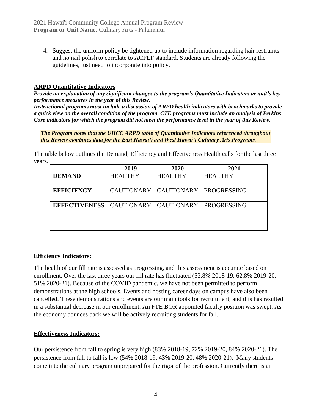4. Suggest the uniform policy be tightened up to include information regarding hair restraints and no nail polish to correlate to ACFEF standard. Students are already following the guidelines, just need to incorporate into policy.

# **ARPD Quantitative Indicators**

*Provide an explanation of any significant changes to the program's Quantitative Indicators or unit's key performance measures in the year of this Review.*

*Instructional programs must include a discussion of ARPD health indicators with benchmarks to provide a quick view on the overall condition of the program. CTE programs must include an analysis of Perkins Core indicators for which the program did not meet the performance level in the year of this Review.*

*The Program notes that the UHCC ARPD table of Quantitative Indicators referenced throughout this Review combines data for the East Hawai'i and West Hawai'i Culinary Arts Programs.*

The table below outlines the Demand, Efficiency and Effectiveness Health calls for the last three years.

|                                                              | 2019           | 2020                                  | 2021           |
|--------------------------------------------------------------|----------------|---------------------------------------|----------------|
| <b>DEMAND</b>                                                | <b>HEALTHY</b> | <b>HEALTHY</b>                        | <b>HEALTHY</b> |
| <b>EFFICIENCY</b>                                            |                | CAUTIONARY   CAUTIONARY   PROGRESSING |                |
| <b>EFFECTIVENESS</b>   CAUTIONARY   CAUTIONARY   PROGRESSING |                |                                       |                |

# **Efficiency Indicators:**

The health of our fill rate is assessed as progressing, and this assessment is accurate based on enrollment. Over the last three years our fill rate has fluctuated (53.8% 2018-19, 62.8% 2019-20, 51% 2020-21). Because of the COVID pandemic, we have not been permitted to perform demonstrations at the high schools. Events and hosting career days on campus have also been cancelled. These demonstrations and events are our main tools for recruitment, and this has resulted in a substantial decrease in our enrollment. An FTE BOR appointed faculty position was swept. As the economy bounces back we will be actively recruiting students for fall.

# **Effectiveness Indicators:**

Our persistence from fall to spring is very high (83% 2018-19, 72% 2019-20, 84% 2020-21). The persistence from fall to fall is low (54% 2018-19, 43% 2019-20, 48% 2020-21). Many students come into the culinary program unprepared for the rigor of the profession. Currently there is an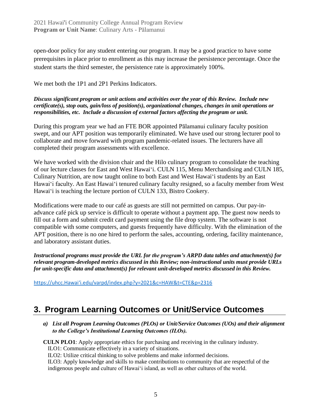open-door policy for any student entering our program. It may be a good practice to have some prerequisites in place prior to enrollment as this may increase the persistence percentage. Once the student starts the third semester, the persistence rate is approximately 100%.

We met both the 1P1 and 2P1 Perkins Indicators.

#### *Discuss significant program or unit actions and activities over the year of this Review. Include new certificate(s), stop outs, gain/loss of position(s), organizational changes, changes in unit operations or responsibilities, etc. Include a discussion of external factors affecting the program or unit.*

During this program year we had an FTE BOR appointed Pālamanui culinary faculty position swept, and our APT position was temporarily eliminated. We have used our strong lecturer pool to collaborate and move forward with program pandemic-related issues. The lecturers have all completed their program assessments with excellence.

We have worked with the division chair and the Hilo culinary program to consolidate the teaching of our lecture classes for East and West Hawai'i. CULN 115, Menu Merchandising and CULN 185, Culinary Nutrition, are now taught online to both East and West Hawai'i students by an East Hawai'i faculty. An East Hawai'i tenured culinary faculty resigned, so a faculty member from West Hawai'i is teaching the lecture portion of CULN 133, Bistro Cookery.

Modifications were made to our café as guests are still not permitted on campus. Our pay-inadvance café pick up service is difficult to operate without a payment app. The guest now needs to fill out a form and submit credit card payment using the file drop system. The software is not compatible with some computers, and guests frequently have difficulty. With the elimination of the APT position, there is no one hired to perform the sales, accounting, ordering, facility maintenance, and laboratory assistant duties.

*Instructional programs must provide the URL for the program's ARPD data tables and attachment(s) for relevant program-developed metrics discussed in this Review; non-instructional units must provide URLs for unit-specific data and attachment(s) for relevant unit-developed metrics discussed in this Review.* 

https://uhcc.Hawaiʻi[.edu/varpd/index.php?y=2021&c=HAW&t=CTE&p=2316](https://uhcc.hawaii.edu/varpd/index.php?y=2021&c=HAW&t=CTE&p=2316)

# **3. Program Learning Outcomes or Unit/Service Outcomes**

*a) List all Program Learning Outcomes (PLOs) or Unit/Service Outcomes (UOs) and their alignment to the College's Institutional Learning Outcomes (ILOs).*

**CULN PLO1**: Apply appropriate ethics for purchasing and receiving in the culinary industry. ILO1: Communicate effectively in a variety of situations.

ILO2: Utilize critical thinking to solve problems and make informed decisions.

ILO3: Apply knowledge and skills to make contributions to community that are respectful of the indigenous people and culture of Hawai'i island, as well as other cultures of the world.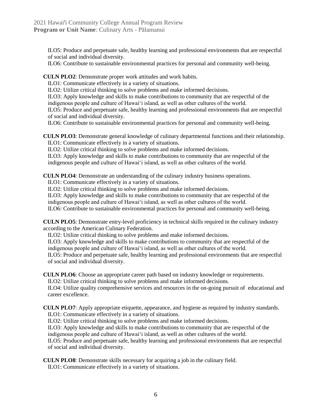ILO5: Produce and perpetuate safe, healthy learning and professional environments that are respectful of social and individual diversity.

ILO6: Contribute to sustainable environmental practices for personal and community well-being.

**CULN PLO2**: Demonstrate proper work attitudes and work habits.

ILO1: Communicate effectively in a variety of situations.

ILO2: Utilize critical thinking to solve problems and make informed decisions.

ILO3: Apply knowledge and skills to make contributions to community that are respectful of the indigenous people and culture of Hawai'i island, as well as other cultures of the world.

ILO5: Produce and perpetuate safe, healthy learning and professional environments that are respectful of social and individual diversity.

ILO6: Contribute to sustainable environmental practices for personal and community well-being.

**CULN PLO3**: Demonstrate general knowledge of culinary departmental functions and their relationship. ILO1: Communicate effectively in a variety of situations.

ILO2: Utilize critical thinking to solve problems and make informed decisions.

ILO3: Apply knowledge and skills to make contributions to community that are respectful of the indigenous people and culture of Hawai'i island, as well as other cultures of the world.

**CULN PLO4**: Demonstrate an understanding of the culinary industry business operations.

ILO1: Communicate effectively in a variety of situations.

ILO2: Utilize critical thinking to solve problems and make informed decisions.

ILO3: Apply knowledge and skills to make contributions to community that are respectful of the indigenous people and culture of Hawai'i island, as well as other cultures of the world.

ILO6: Contribute to sustainable environmental practices for personal and community well-being.

**CULN PLO5**: Demonstrate entry-level proficiency in technical skills required in the culinary industry according to the American Culinary Federation.

ILO2: Utilize critical thinking to solve problems and make informed decisions.

ILO3: Apply knowledge and skills to make contributions to community that are respectful of the indigenous people and culture of Hawai'i island, as well as other cultures of the world.

ILO5: Produce and perpetuate safe, healthy learning and professional environments that are respectful of social and individual diversity.

**CULN PLO6**: Choose an appropriate career path based on industry knowledge or requirements.

ILO2: Utilize critical thinking to solve problems and make informed decisions.

ILO4: Utilize quality comprehensive services and resources in the on-going pursuit of educational and career excellence.

**CULN PLO7**: Apply appropriate etiquette, appearance, and hygiene as required by industry standards. ILO1: Communicate effectively in a variety of situations.

ILO2: Utilize critical thinking to solve problems and make informed decisions.

ILO3: Apply knowledge and skills to make contributions to community that are respectful of the indigenous people and culture of Hawai'i island, as well as other cultures of the world.

ILO5: Produce and perpetuate safe, healthy learning and professional environments that are respectful of social and individual diversity.

**CULN PLO8**: Demonstrate skills necessary for acquiring a job in the culinary field.

ILO1: Communicate effectively in a variety of situations.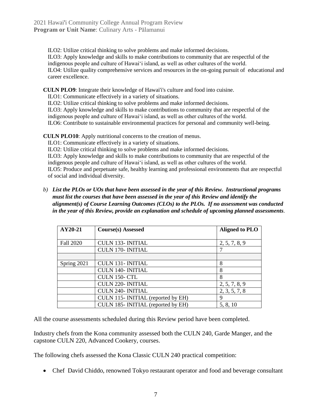ILO2: Utilize critical thinking to solve problems and make informed decisions. ILO3: Apply knowledge and skills to make contributions to community that are respectful of the indigenous people and culture of Hawai'i island, as well as other cultures of the world. ILO4: Utilize quality comprehensive services and resources in the on-going pursuit of educational and career excellence.

**CULN PLO9**: Integrate their knowledge of Hawai'i's culture and food into cuisine.

ILO1: Communicate effectively in a variety of situations.

ILO2: Utilize critical thinking to solve problems and make informed decisions.

ILO3: Apply knowledge and skills to make contributions to community that are respectful of the indigenous people and culture of Hawai'i island, as well as other cultures of the world.

ILO6: Contribute to sustainable environmental practices for personal and community well-being.

**CULN PLO10**: Apply nutritional concerns to the creation of menus.

ILO1: Communicate effectively in a variety of situations.

ILO2: Utilize critical thinking to solve problems and make informed decisions.

ILO3: Apply knowledge and skills to make contributions to community that are respectful of the indigenous people and culture of Hawai'i island, as well as other cultures of the world. ILO5: Produce and perpetuate safe, healthy learning and professional environments that are respectful

of social and individual diversity.

*b) List the PLOs or UOs that have been assessed in the year of this Review. Instructional programs must list the courses that have been assessed in the year of this Review and identify the alignment(s) of Course Learning Outcomes (CLOs) to the PLOs. If no assessment was conducted in the year of this Review, provide an explanation and schedule of upcoming planned assessments.*

| AY20-21     | <b>Course(s)</b> Assessed          | <b>Aligned to PLO</b> |
|-------------|------------------------------------|-----------------------|
|             |                                    |                       |
| Fall 2020   | <b>CULN 133- INITIAL</b>           | 2, 5, 7, 8, 9         |
|             | <b>CULN 170- INITIAL</b>           |                       |
|             |                                    |                       |
| Spring 2021 | <b>CULN 131- INITIAL</b>           | 8                     |
|             | <b>CULN 140- INITIAL</b>           | 8                     |
|             | CULN 150-CTL                       | 8                     |
|             | <b>CULN 220- INITIAL</b>           | 2, 5, 7, 8, 9         |
|             | <b>CULN 240- INITIAL</b>           | 2, 3, 5, 7, 8         |
|             | CULN 115- INITIAL (reported by EH) | 9                     |
|             | CULN 185- INITIAL (reported by EH) | 5, 8, 10              |

All the course assessments scheduled during this Review period have been completed.

Industry chefs from the Kona community assessed both the CULN 240, Garde Manger, and the capstone CULN 220, Advanced Cookery, courses.

The following chefs assessed the Kona Classic CULN 240 practical competition:

• Chef David Chiddo, renowned Tokyo restaurant operator and food and beverage consultant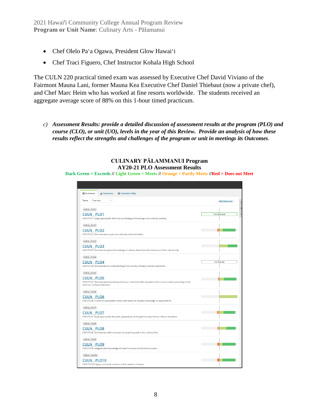- Chef Olelo Pa'a Ogawa, President Glow Hawai'i
- Chef Traci Figuero, Chef Instructor Kohala High School

The CULN 220 practical timed exam was assessed by Executive Chef David Viviano of the Fairmont Mauna Lani, former Mauna Kea Executive Chef Daniel Thiebaut (now a private chef), and Chef Marc Heim who has worked at fine resorts worldwide. The students received an aggregate average score of 88% on this 1-hour timed practicum.

*c) Assessment Results: provide a detailed discussion of assessment results at the program (PLO) and course (CLO), or unit (UO), levels in the year of this Review. Provide an analysis of how these results reflect the strengths and challenges of the program or unit in meetings its Outcomes.*

**CULINARY PĀLAMMANUI Program AY20-21 PLO Assessment Results Dark Green = Exceeds // Light Green = Meets // Orange = Partly Meets //Red = Does not Meet**

| <b>Outcomes</b><br>▲ Taxonomy<br><b>EE</b> Curriculum Map                                                                                                                  |                   |
|----------------------------------------------------------------------------------------------------------------------------------------------------------------------------|-------------------|
| $\checkmark$<br>Term:<br>Overview                                                                                                                                          | Add Outcome -     |
| CULN_PLO1                                                                                                                                                                  |                   |
| <b>CULN PLO1</b><br>CULN PLO1: Apply appropriate ethics for purchasing and receiving in the culinary industry.                                                             | Not Selected      |
| <b>CULN_PLO2</b>                                                                                                                                                           |                   |
| <b>CULN PLO2</b><br>CULN PLO2: Demonstrate proper work attitudes and work habits.                                                                                          |                   |
| CULN_PLO3                                                                                                                                                                  |                   |
| <b>CULN PLO3</b><br>CULN PLO3: Demonstrate general knowledge of culinary departmental functions and their relationship.                                                    |                   |
| CULN_PLO4                                                                                                                                                                  |                   |
| <b>CULN PLO4</b><br>CULN PLO4: Demonstrate an understanding of the culinary industry business operations.                                                                  | <b>No Results</b> |
| CULN_PLO5                                                                                                                                                                  |                   |
| <b>CULN PLO5</b><br>CULN PLO5: Demonstrate entry-level proficiency in technical skills required in the culinary industry according to the<br>American Culinary Federation. |                   |
| CULN_PLO6                                                                                                                                                                  |                   |
| <b>CULN PLO6</b><br>CULN PLO6: Choose an appropriate career path based on industry knowledge or requirements.                                                              |                   |
| CULN_PLO7                                                                                                                                                                  |                   |
| <b>CULN PLO7</b><br>CULN PLO7: Apply appropriate etiquette, appearance, and hygiene as required by industry standards.                                                     |                   |
| <b>CULN_PLO8</b>                                                                                                                                                           |                   |
| <b>CULN PLO8</b><br>CULN PLO8: Demonstrate skills necessary for acquiring a job in the culinary field.                                                                     |                   |
| CULN_PLO9                                                                                                                                                                  |                   |
| <b>CULN PLO9</b><br>CULN PLO9: Integrate their knowledge of Hawai'i's culture and food into cuisine.                                                                       |                   |
| CULN PLO10                                                                                                                                                                 |                   |
| <b>CULN PLO10</b><br>CULN PLO10: Apply nutritional concerns to the creation of menus.                                                                                      |                   |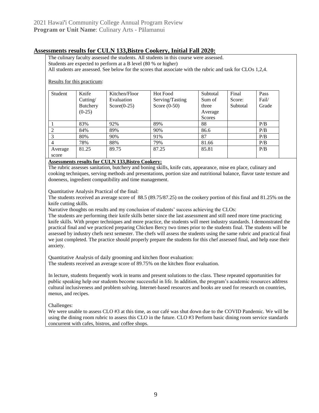### **Assessments results for CULN 133,Bistro Cookery, Initial Fall 2020:**

The culinary faculty assessed the students. All students in this course were assessed. Students are expected to perform at a B level (80 % or higher)

All students are assessed. See below for the scores that associate with the rubric and task for CLOs 1,2,4.

#### Results for this practicum:

| Student        | Knife           | Kitchen/Floor | <b>Hot Food</b> | Subtotal | Final    | Pass  |
|----------------|-----------------|---------------|-----------------|----------|----------|-------|
|                | Cutting/        | Evaluation    | Serving/Tasting | Sum of   | Score:   | Fail/ |
|                | <b>Butchery</b> | $Score(0-25)$ | Score $(0-50)$  | three    | Subtotal | Grade |
|                | $(0-25)$        |               |                 | Average  |          |       |
|                |                 |               |                 | Scores   |          |       |
|                | 83%             | 92%           | 89%             | 88       |          | P/B   |
|                | 84%             | 89%           | 90%             | 86.6     |          | P/B   |
| 3              | 80%             | 90%           | 91%             | 87       |          | P/B   |
| $\overline{4}$ | 78%             | 88%           | 79%             | 81.66    |          | P/B   |
| Average        | 81.25           | 89.75         | 87.25           | 85.81    |          | P/B   |
| score          |                 |               |                 |          |          |       |

#### **Assessments results for CULN 133,Bistro Cookery:**

The rubric assesses sanitation, butchery and boning skills, knife cuts, appearance, mise en place, culinary and cooking techniques, serving methods and presentations, portion size and nutritional balance, flavor taste texture and doneness, ingredient compatibility and time management.

Quantitative Analysis Practical of the final:

The students received an average score of 88.5 (89.75/87.25) on the cookery portion of this final and 81.25% on the knife cutting skills.

Narrative thoughts on results and my conclusion of students' success achieving the CLOs:

The students are performing their knife skills better since the last assessment and still need more time practicing knife skills. With proper techniques and more practice, the students will meet industry standards. I demonstrated the practical final and we practiced preparing Chicken Bercy two times prior to the students final. The students will be assessed by industry chefs next semester. The chefs will assess the students using the same rubric and practical final we just completed. The practice should properly prepare the students for this chef assessed final, and help ease their anxiety.

Quantitative Analysis of daily grooming and kitchen floor evaluation:

The students received an average score of 89.75% on the kitchen floor evaluation.

In lecture, students frequently work in teams and present solutions to the class. These repeated opportunities for public speaking help our students become successful in life. In addition, the program's academic resources address cultural inclusiveness and problem solving. Internet-based resources and books are used for research on countries, menus, and recipes.

Challenges:

We were unable to assess CLO #3 at this time, as our café was shut down due to the COVID Pandemic. We will be using the dining room rubric to assess this CLO in the future. CLO #3 Perform basic dining room service standards concurrent with cafes, bistros, and coffee shops.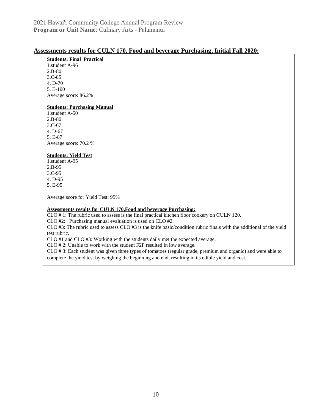#### **Assessments results for CULN 170, Food and beverage Purchasing, Initial Fall 2020:**

#### **Students: Final Practical**

1.student A-96 2.B-80 3.C-85 4. D-70 5. E-100 Average score: 86.2%

#### **Students: Purchasing Manual**

1.student A-50 2.B-80 3.C-67 4. D-67 5. E-87 Average score: 70.2 %

#### **Students: Yield Test**

1.student A-95 2.B-95 3.C-95 4. D-95 5. E-95

Average score for Yield Test: 95%

#### **Assessments results for CULN 170,Food and beverage Purchasing:**

CLO # 1: The rubric used to assess is the final practical kitchen floor cookery on CULN 120.

CLO #2: Purchasing manual evaluation is used on CLO #2.

CLO  $#3$ : The rubric used to assess CLO  $#3$  is the knife basic/condition rubric finals with the additional of the yield test rubric.

CLO #1 and CLO #3: Working with the students daily met the expected average.

CLO # 2: Unable to work with the student F2F resulted in low average.

CLO # 3: Each student was given three types of tomatoes (regular grade, premium and organic) and were able to complete the yield test by weighing the beginning and end, resulting in its edible yield and cost.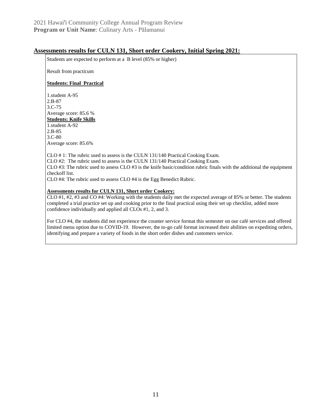#### **Assessments results for CULN 131, Short order Cookery, Initial Spring 2021:**

Students are expected to perform at a B level (85% or higher)

Result from practicum

#### **Students: Final Practical**

1.student A-95 2.B-87 3.C-75 Average score: 85.6 % **Students: Knife Skills** 1.student A-92 2.B-85

3.C-80 Average score: 85.6%

CLO # 1: The rubric used to assess is the CULN 131/140 Practical Cooking Exam.

CLO #2: The rubric used to assess is the CULN 131/140 Practical Cooking Exam.

CLO  $#3$ : The rubric used to assess CLO  $#3$  is the knife basic/condition rubric finals with the additional the equipment checkoff list.

CLO #4: The rubric used to assess CLO #4 is the Egg Benedict Rubric.

#### **Assessments results for CULN 131, Short order Cookery:**

CLO #1, #2, #3 and CO #4: Working with the students daily met the expected average of 85% or better. The students completed a trial practice set up and cooking prior to the final practical using their set up checklist, added more confidence individually and applied all CLOs #1, 2, and 3.

For CLO #4, the students did not experience the counter service format this semester on our café services and offered limited menu option due to COVID-19. However, the to-go café format increased their abilities on expediting orders, identifying and prepare a variety of foods in the short order dishes and customers service.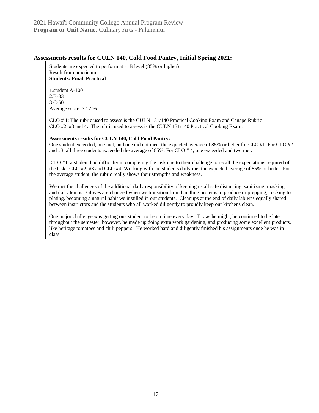### **Assessments results for CULN 140, Cold Food Pantry, Initial Spring 2021:**

Students are expected to perform at a B level (85% or higher) Result from practicum **Students: Final Practical**

1.student A-100 2.B-83 3.C-50 Average score: 77.7 %

CLO # 1: The rubric used to assess is the CULN 131/140 Practical Cooking Exam and Canape Rubric CLO #2, #3 and 4: The rubric used to assess is the CULN 131/140 Practical Cooking Exam.

#### **Assessments results for CULN 140, Cold Food Pantry:**

One student exceeded, one met, and one did not meet the expected average of 85% or better for CLO #1. For CLO #2 and #3, all three students exceeded the average of 85%. For CLO # 4, one exceeded and two met.

CLO #1, a student had difficulty in completing the task due to their challenge to recall the expectations required of the task. CLO #2, #3 and CLO #4: Working with the students daily met the expected average of 85% or better. For the average student, the rubric really shows their strengths and weakness.

We met the challenges of the additional daily responsibility of keeping us all safe distancing, sanitizing, masking and daily temps. Gloves are changed when we transition from handling proteins to produce or prepping, cooking to plating, becoming a natural habit we instilled in our students. Cleanups at the end of daily lab was equally shared between instructors and the students who all worked diligently to proudly keep our kitchens clean.

One major challenge was getting one student to be on time every day. Try as he might, he continued to be late throughout the semester, however, he made up doing extra work gardening, and producing some excellent products, like heritage tomatoes and chili peppers. He worked hard and diligently finished his assignments once he was in class.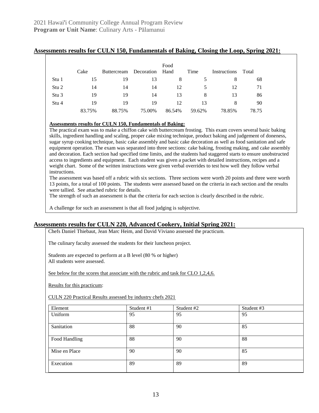#### **Assessments results for CULN 150, Fundamentals of Baking, Closing the Loop, Spring 2021:**

|                  | Cake   | Buttercream | Decoration | Food<br>Hand | Time   | Instructions | Total |
|------------------|--------|-------------|------------|--------------|--------|--------------|-------|
| Stu 1            | 15     | 19          | 13         | 8            |        | 8            | 68    |
| Stu 2            | 14     | 14          | 14         | 12           |        | 12           | 71    |
| Stu <sub>3</sub> | 19     | 19          | 14         | 13           | 8      | 13           | 86    |
| Stu 4            | 19     | 19          | 19         | 12           | 13     | 8            | 90    |
|                  | 83.75% | 88.75%      | 75.00%     | 86.54%       | 59.62% | 78.85%       | 78.75 |

#### **Assessments results for CULN 150, Fundamentals of Baking:**

The practical exam was to make a chiffon cake with buttercream frosting. This exam covers several basic baking skills, ingredient handling and scaling, proper cake mixing technique, product baking and judgement of doneness, sugar syrup cooking technique, basic cake assembly and basic cake decoration as well as food sanitation and safe equipment operation. The exam was separated into three sections: cake baking, frosting making, and cake assembly and decoration. Each section had specified time limits, and the students had staggered starts to ensure unobstructed access to ingredients and equipment. Each student was given a packet with detailed instructions, recipes and a weight chart. Some of the written instructions were given verbal overrides to test how well they follow verbal instructions.

The assessment was based off a rubric with six sections. Three sections were worth 20 points and three were worth 13 points, for a total of 100 points. The students were assessed based on the criteria in each section and the results were tallied. See attached rubric for details.

The strength of such an assessment is that the criteria for each section is clearly described in the rubric.

A challenge for such an assessment is that all food judging is subjective.

#### **Assessments results for CULN 220, Advanced Cookery, Initial Spring 2021:**

Chefs Daniel Thiebaut, Jean Marc Heim, and David Viviano assessed the practicum.

The culinary faculty assessed the students for their luncheon project.

Students are expected to perform at a B level (80 % or higher) All students were assessed.

See below for the scores that associate with the rubric and task for CLO 1,2,4,6.

Results for this practicum:

CULN 220 Practical Results assessed by industry chefs 2021

| Element       | Student #1 | Student #2 | Student #3 |
|---------------|------------|------------|------------|
| Uniform       | 95         | 95         | 95         |
| Sanitation    | 88         | 90         | 85         |
| Food Handling | 88         | 90         | 88         |
| Mise en Place | 90         | 90         | 85         |
| Execution     | 89         | 89         | 89         |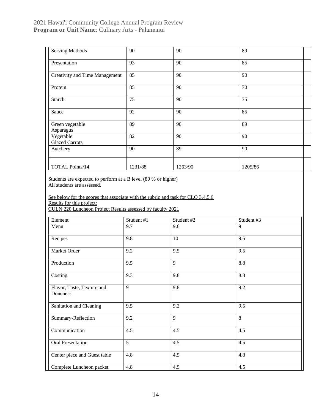### 2021 Hawai'i Community College Annual Program Review **Program or Unit Name**: Culinary Arts - Pālamanui

| Serving Methods                       | 90      | 90      | 89      |
|---------------------------------------|---------|---------|---------|
| Presentation                          | 93      | 90      | 85      |
| <b>Creativity and Time Management</b> | 85      | 90      | 90      |
| Protein                               | 85      | 90      | 70      |
| Starch                                | 75      | 90      | 75      |
| Sauce                                 | 92      | 90      | 85      |
| Green vegetable<br>Asparagus          | 89      | 90      | 89      |
| Vegetable<br><b>Glazed Carrots</b>    | 82      | 90      | 90      |
| Butchery                              | 90      | 89      | 90      |
| <b>TOTAL Points/14</b>                | 1231/88 | 1263/90 | 1205/86 |

Students are expected to perform at a B level (80 % or higher) All students are assessed.

See below for the scores that associate with the rubric and task for CLO 3,4,5,6 Results for this project: CULN 220 Luncheon Project Results assessed by faculty 2021

| Element                                | Student #1 | Student #2 | Student #3 |
|----------------------------------------|------------|------------|------------|
| Menu                                   | 9.7        | 9.6        | 9          |
| Recipes                                | 9.8        | 10         | 9.5        |
| Market Order                           | 9.2        | 9.5        | 9.5        |
| Production                             | 9.5        | 9          | 8.8        |
| Costing                                | 9.3        | 9.8        | $8.8\,$    |
| Flavor, Taste, Texture and<br>Doneness | 9          | 9.8        | 9.2        |
| Sanitation and Cleaning                | 9.5        | 9.2        | 9.5        |
| Summary-Reflection                     | 9.2        | 9          | 8          |
| Communication                          | 4.5        | 4.5        | 4.5        |
| Oral Presentation                      | 5          | 4.5        | 4.5        |
| Center piece and Guest table           | 4.8        | 4.9        | 4.8        |
| Complete Luncheon packet               | 4.8        | 4.9        | 4.5        |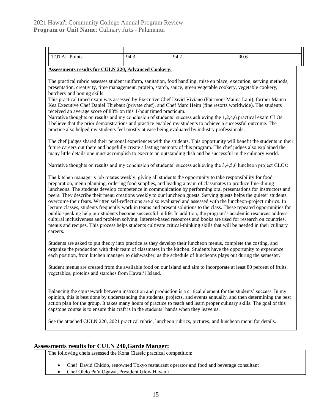| <b>TOTAL Points</b> | 94.3 | 94.7 | 90.6 |
|---------------------|------|------|------|
|                     |      |      |      |

#### **Assessments results for CULN 220, Advanced Cookery:**

The practical rubric assesses student uniform, sanitation, food handling, mise en place, execution, serving methods, presentation, creativity, time management, protein, starch, sauce, green vegetable cookery, vegetable cookery, butchery and boning skills.

This practical timed exam was assessed by Executive Chef David Viviano (Fairmont Mauna Lani), former Mauna Kea Executive Chef Daniel Thiebaut (private chef), and Chef Marc Heim (fine resorts worldwide). The students received an average score of 88% on this 1-hour timed practicum.

Narrative thoughts on results and my conclusion of students' success achieving the 1,2,4,6 practical exam CLOs: I believe that the prior demonstrations and practice enabled my students to achieve a successful outcome. The practice also helped my students feel mostly at ease being evaluated by industry professionals.

The chef judges shared their personal experiences with the students. This opportunity will benefit the students in their future careers out there and hopefully create a lasting memory of this program. The chef judges also explained the many little details one must accomplish to execute an outstanding dish and be successful in the culinary world.

Narrative thoughts on results and my conclusion of students' success achieving the 3,4,5,6 luncheon project CLOs:

The kitchen manager's job rotates weekly, giving all students the opportunity to take responsibility for food preparation, menu planning, ordering food supplies, and leading a team of classmates to produce fine-dining luncheons. The students develop competence in communication by performing oral presentations for instructors and peers. They describe their menu creations weekly to our luncheon guests. Serving guests helps the quieter students overcome their fears. Written self-reflections are also evaluated and assessed with the luncheon-project rubrics. In lecture classes, students frequently work in teams and present solutions to the class. These repeated opportunities for public speaking help our students become successful in life. In addition, the program's academic resources address cultural inclusiveness and problem solving. Internet-based resources and books are used for research on countries, menus and recipes. This process helps students cultivate critical-thinking skills that will be needed in their culinary careers.

Students are asked to put theory into practice as they develop their luncheon menus, complete the costing, and organize the production with their team of classmates in the kitchen. Students have the opportunity to experience each position, from kitchen manager to dishwasher, as the schedule of luncheons plays out during the semester.

Student menus are created from the available food on our island and aim to incorporate at least 80 percent of fruits, vegetables, proteins and starches from Hawaiʻi Island.

Balancing the coursework between instruction and production is a critical element for the students' success. In my opinion, this is best done by understanding the students, projects, and events annually, and then determining the best action plan for the group. It takes many hours of practice to teach and learn proper culinary skills. The goal of this capstone course is to ensure this craft is in the students' hands when they leave us.

See the attached CULN 220, 2021 practical rubric, luncheon rubrics, pictures, and luncheon menu for details.

#### **Assessments results for CULN 240,Garde Manger:**

The following chefs assessed the Kona Classic practical competition:

- Chef David Chiddo, renowned Tokyo restaurant operator and food and beverage consultant
- Chef Olelo Pa'a Ogawa, President Glow Hawaiʻi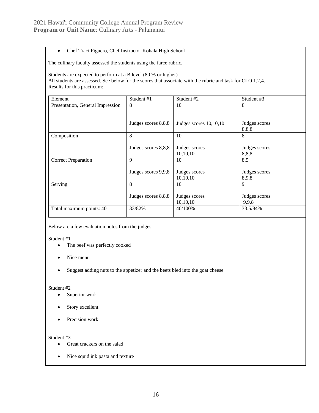#### • Chef Traci Figuero, Chef Instructor Kohala High School

The culinary faculty assessed the students using the farce rubric.

Students are expected to perform at a B level (80 % or higher) All students are assessed. See below for the scores that associate with the rubric and task for CLO 1,2,4. Results for this practicum:

| Element                          | Student #1          | Student #2               | Student #3    |
|----------------------------------|---------------------|--------------------------|---------------|
| Presentation, General Impression | 8                   | 10                       | 8             |
|                                  |                     |                          |               |
|                                  |                     |                          |               |
|                                  | Judges scores 8,8,8 | Judges scores $10,10,10$ | Judges scores |
|                                  |                     |                          | 8,8,8         |
| Composition                      | 8                   | 10                       | 8             |
|                                  |                     |                          |               |
|                                  | Judges scores 8,8,8 | Judges scores            | Judges scores |
|                                  |                     | 10,10,10                 | 8,8,8         |
| <b>Correct Preparation</b>       | 9                   | 10                       | 8.5           |
|                                  |                     |                          |               |
|                                  | Judges scores 9,9,8 | Judges scores            | Judges scores |
|                                  |                     | 10,10,10                 | 8,9,8         |
| Serving                          | 8                   | 10                       | $\mathbf{Q}$  |
|                                  |                     |                          |               |
|                                  | Judges scores 8,8,8 | Judges scores            | Judges scores |
|                                  |                     | 10,10,10                 | 9,9,8         |
| Total maximum points: 40         | 33/82%              | 40/100%                  | 33.5/84%      |
|                                  |                     |                          |               |

Below are a few evaluation notes from the judges:

Student #1

- The beef was perfectly cooked
- Nice menu
- Suggest adding nuts to the appetizer and the beets bled into the goat cheese

#### Student #2

- Superior work
- Story excellent
- Precision work

#### Student #3

- Great crackers on the salad
- Nice squid ink pasta and texture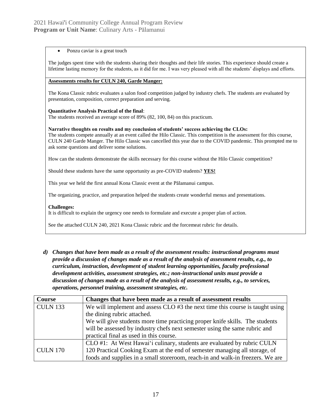#### Ponzu caviar is a great touch

The judges spent time with the students sharing their thoughts and their life stories. This experience should create a lifetime lasting memory for the students, as it did for me. I was very pleased with all the students' displays and efforts.

#### **Assessments results for CULN 240, Garde Manger:**

The Kona Classic rubric evaluates a salon food competition judged by industry chefs. The students are evaluated by presentation, composition, correct preparation and serving.

#### **Quantitative Analysis Practical of the final**:

The students received an average score of 89% (82, 100, 84) on this practicum.

#### **Narrative thoughts on results and my conclusion of students' success achieving the CLOs:**

The students compete annually at an event called the Hilo Classic. This competition is the assessment for this course, CULN 240 Garde Manger. The Hilo Classic was cancelled this year due to the COVID pandemic. This prompted me to ask some questions and deliver some solutions.

How can the students demonstrate the skills necessary for this course without the Hilo Classic competition?

Should these students have the same opportunity as pre-COVID students? **YES!**

This year we held the first annual Kona Classic event at the Pālamanui campus.

The organizing, practice, and preparation helped the students create wonderful menus and presentations.

#### **Challenges:**

It is difficult to explain the urgency one needs to formulate and execute a proper plan of action.

See the attached CULN 240, 2021 Kona Classic rubric and the forcemeat rubric for details.

*d) Changes that have been made as a result of the assessment results: instructional programs must provide a discussion of changes made as a result of the analysis of assessment results, e.g., to curriculum, instruction, development of student learning opportunities, faculty professional development activities, assessment strategies, etc.; non-instructional units must provide a discussion of changes made as a result of the analysis of assessment results, e.g., to services, operations, personnel training, assessment strategies, etc.*

| Course          | Changes that have been made as a result of assessment results                  |
|-----------------|--------------------------------------------------------------------------------|
| <b>CULN 133</b> | We will implement and assess CLO #3 the next time this course is taught using  |
|                 | the dining rubric attached.                                                    |
|                 | We will give students more time practicing proper knife skills. The students   |
|                 | will be assessed by industry chefs next semester using the same rubric and     |
|                 | practical final as used in this course.                                        |
|                 | CLO #1: At West Hawai'i culinary, students are evaluated by rubric CULN        |
| <b>CULN 170</b> | 120 Practical Cooking Exam at the end of semester managing all storage, of     |
|                 | foods and supplies in a small storeroom, reach-in and walk-in freezers. We are |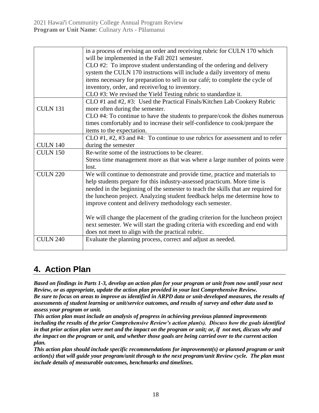|                 | in a process of revising an order and receiving rubric for CULN 170 which         |
|-----------------|-----------------------------------------------------------------------------------|
|                 | will be implemented in the Fall 2021 semester.                                    |
|                 | CLO #2: To improve student understanding of the ordering and delivery             |
|                 | system the CULN 170 instructions will include a daily inventory of menu           |
|                 | items necessary for preparation to sell in our café; to complete the cycle of     |
|                 | inventory, order, and receive/log to inventory.                                   |
|                 | CLO #3: We revised the Yield Testing rubric to standardize it.                    |
|                 | CLO #1 and #2, #3: Used the Practical Finals/Kitchen Lab Cookery Rubric           |
| <b>CULN 131</b> | more often during the semester.                                                   |
|                 | CLO #4: To continue to have the students to prepare/cook the dishes numerous      |
|                 | times comfortably and to increase their self-confidence to cook/prepare the       |
|                 | items to the expectation.                                                         |
|                 | $CLO$ #1, #2, #3 and #4: To continue to use rubrics for assessment and to refer   |
| <b>CULN 140</b> | during the semester                                                               |
| <b>CULN 150</b> | Re-write some of the instructions to be clearer.                                  |
|                 | Stress time management more as that was where a large number of points were       |
|                 | lost.                                                                             |
| <b>CULN 220</b> | We will continue to demonstrate and provide time, practice and materials to       |
|                 | help students prepare for this industry-assessed practicum. More time is          |
|                 | needed in the beginning of the semester to teach the skills that are required for |
|                 | the luncheon project. Analyzing student feedback helps me determine how to        |
|                 | improve content and delivery methodology each semester.                           |
|                 |                                                                                   |
|                 | We will change the placement of the grading criterion for the luncheon project    |
|                 | next semester. We will start the grading criteria with exceeding and end with     |
|                 | does not meet to align with the practical rubric.                                 |
| <b>CULN 240</b> | Evaluate the planning process, correct and adjust as needed.                      |
|                 |                                                                                   |

# **4. Action Plan**

*Based on findings in Parts 1-3, develop an action plan for your program or unit from now until your next Review, or as appropriate, update the action plan provided in your last Comprehensive Review. Be sure to focus on areas to improve as identified in ARPD data or unit-developed measures, the results of assessments of student learning or unit/service outcomes, and results of survey and other data used to assess your program or unit.*

*This action plan must include an analysis of progress in achieving previous planned improvements including the results of the prior Comprehensive Review's action plan(s). Discuss how the goals identified in that prior action plan were met and the impact on the program or unit; or, if not met, discuss why and the impact on the program or unit, and whether those goals are being carried over to the current action plan.* 

*This action plan should include specific recommendations for improvement(s) or planned program or unit action(s) that will guide your program/unit through to the next program/unit Review cycle. The plan must include details of measurable outcomes, benchmarks and timelines.*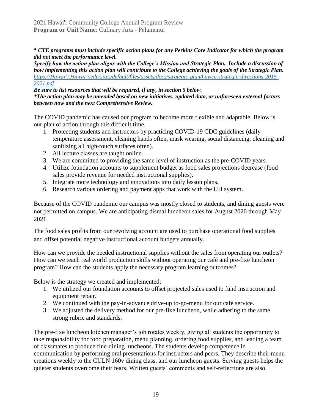*\* CTE programs must include specific action plans for any Perkins Core Indicator for which the program did not meet the performance level.*

*Specify how the action plan aligns with the College's Mission and Strategic Plan. Include a discussion of how implementing this action plan will contribute to the College achieving the goals of the Strategic Plan. [https://Hawaiʻi.Hawaiʻi.edu/sites/default/files/assets/docs/strategic-plan/hawcc-strategic-directions-2015-](https://hawaii.hawaii.edu/sites/default/files/assets/docs/strategic-plan/hawcc-strategic-directions-2015-2021.pdf) [2021.pdf](https://hawaii.hawaii.edu/sites/default/files/assets/docs/strategic-plan/hawcc-strategic-directions-2015-2021.pdf)*

*Be sure to list resources that will be required, if any, in section 5 below. \*The action plan may be amended based on new initiatives, updated data, or unforeseen external factors between now and the next Comprehensive Review.*

The COVID pandemic has caused our program to become more flexible and adaptable. Below is our plan of action through this difficult time.

- 1. Protecting students and instructors by practicing COVID-19 CDC guidelines (daily temperature assessment, cleaning hands often, mask wearing, social distancing, cleaning and sanitizing all high-touch surfaces often).
- 2. All lecture classes are taught online.
- 3. We are committed to providing the same level of instruction as the pre-COVID years.
- 4. Utilize foundation accounts to supplement budget as food sales projections decrease (food sales provide revenue for needed instructional supplies).
- 5. Integrate more technology and innovations into daily lesson plans.
- 6. Research various ordering and payment apps that work with the UH system.

Because of the COVID pandemic our campus was mostly closed to students, and dining guests were not permitted on campus. We are anticipating dismal luncheon sales for August 2020 through May 2021.

The food sales profits from our revolving account are used to purchase operational food supplies and offset potential negative instructional account budgets annually.

How can we provide the needed instructional supplies without the sales from operating our outlets? How can we teach real world production skills without operating our café and pre-fixe luncheon program? How can the students apply the necessary program learning outcomes?

Below is the strategy we created and implemented:

- 1. We utilized our foundation accounts to offset projected sales used to fund instruction and equipment repair.
- 2. We continued with the pay-in-advance drive-up to-go-menu for our café service.
- 3. We adjusted the delivery method for our pre-fixe luncheon, while adhering to the same strong rubric and standards.

The pre-fixe luncheon kitchen manager's job rotates weekly, giving all students the opportunity to take responsibility for food preparation, menu planning, ordering food supplies, and leading a team of classmates to produce fine-dining luncheons. The students develop competence in communication by performing oral presentations for instructors and peers. They describe their menu creations weekly to the CULN 160v dining class, and our luncheon guests. Serving guests helps the quieter students overcome their fears. Written guests' comments and self-reflections are also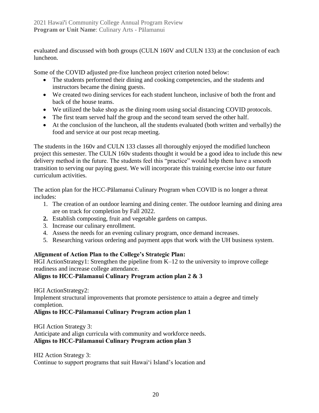evaluated and discussed with both groups (CULN 160V and CULN 133) at the conclusion of each luncheon.

Some of the COVID adjusted pre-fixe luncheon project criterion noted below:

- The students performed their dining and cooking competencies, and the students and instructors became the dining guests.
- We created two dining services for each student luncheon, inclusive of both the front and back of the house teams.
- We utilized the bake shop as the dining room using social distancing COVID protocols.
- The first team served half the group and the second team served the other half.
- At the conclusion of the luncheon, all the students evaluated (both written and verbally) the food and service at our post recap meeting.

The students in the 160v and CULN 133 classes all thoroughly enjoyed the modified luncheon project this semester. The CULN 160v students thought it would be a good idea to include this new delivery method in the future. The students feel this "practice" would help them have a smooth transition to serving our paying guest. We will incorporate this training exercise into our future curriculum activities.

The action plan for the HCC-Pālamanui Culinary Program when COVID is no longer a threat includes:

- 1. The creation of an outdoor learning and dining center. The outdoor learning and dining area are on track for completion by Fall 2022.
- **2.** Establish composting, fruit and vegetable gardens on campus.
- 3. Increase our culinary enrollment.
- 4. Assess the needs for an evening culinary program, once demand increases.
- 5. Researching various ordering and payment apps that work with the UH business system.

# **Alignment of Action Plan to the College's Strategic Plan:**

HGI ActionStrategy1: Strengthen the pipeline from K–12 to the university to improve college readiness and increase college attendance.

# **Aligns to HCC-Pālamanui Culinary Program action plan 2 & 3**

HGI ActionStrategy2:

Implement structural improvements that promote persistence to attain a degree and timely completion.

# **Aligns to HCC-Pālamanui Culinary Program action plan 1**

HGI Action Strategy 3:

Anticipate and align curricula with community and workforce needs. **Aligns to HCC-Pālamanui Culinary Program action plan 3**

HI2 Action Strategy 3:

Continue to support programs that suit Hawai'i Island's location and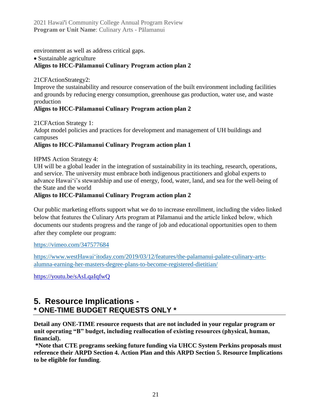2021 Hawai'i Community College Annual Program Review **Program or Unit Name**: Culinary Arts - Pālamanui

environment as well as address critical gaps.

• Sustainable agriculture

# **Aligns to HCC-Pālamanui Culinary Program action plan 2**

21CFActionStrategy2:

Improve the sustainability and resource conservation of the built environment including facilities and grounds by reducing energy consumption, greenhouse gas production, water use, and waste production

# **Aligns to HCC-Pālamanui Culinary Program action plan 2**

21CFAction Strategy 1: Adopt model policies and practices for development and management of UH buildings and

campuses

# **Aligns to HCC-Pālamanui Culinary Program action plan 1**

HPMS Action Strategy 4:

UH will be a global leader in the integration of sustainability in its teaching, research, operations, and service. The university must embrace both indigenous practitioners and global experts to advance Hawai'i's stewardship and use of energy, food, water, land, and sea for the well-being of the State and the world

# **Aligns to HCC-Pālamanui Culinary Program action plan 2**

Our public marketing efforts support what we do to increase enrollment, including the video linked below that features the Culinary Arts program at Pālamanui and the article linked below, which documents our students progress and the range of job and educational opportunities open to them after they complete our program:

<https://vimeo.com/347577684>

[https://www.westHawaiʻitoday.com/2019/03/12/features/the-palamanui-palate-culinary-arts](https://www.westhawaiitoday.com/2019/03/12/features/the-palamanui-palate-culinary-arts-alumna-earning-her-masters-degree-plans-to-become-registered-dietitian/)[alumna-earning-her-masters-degree-plans-to-become-registered-dietitian/](https://www.westhawaiitoday.com/2019/03/12/features/the-palamanui-palate-culinary-arts-alumna-earning-her-masters-degree-plans-to-become-registered-dietitian/)

<https://youtu.be/sAsLqaIqfwQ>

# **5. Resource Implications - \* ONE-TIME BUDGET REQUESTS ONLY \***

**Detail any ONE-TIME resource requests that are not included in your regular program or unit operating "B" budget, including reallocation of existing resources (physical, human, financial).**

**\*Note that CTE programs seeking future funding via UHCC System Perkins proposals must reference their ARPD Section 4. Action Plan and this ARPD Section 5. Resource Implications to be eligible for funding**.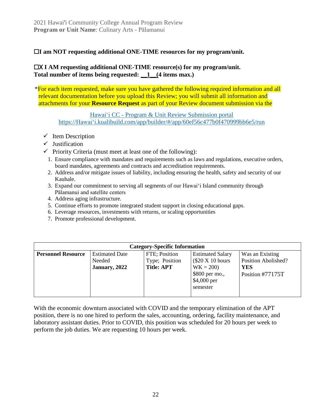# ☐**I am NOT requesting additional ONE-TIME resources for my program/unit.**

# ☐X **I AM requesting additional ONE-TIME resource(s) for my program/unit. Total number of items being requested: \_\_1\_\_(4 items max.)**

\*For each item requested, make sure you have gathered the following required information and all relevant documentation before you upload this Review; you will submit all information and attachments for your **Resource Request** as part of your Review document submission via the

Hawaiʻi CC - [Program & Unit Review Submission portal](https://hawaii.kualibuild.com/app/builder/#/app/60ef56c477b0f470999bb6e5/run) [https://Hawaiʻi.kualibuild.com/app/builder/#/app/60ef56c477b0f470999bb6e5/run](https://hawaii.kualibuild.com/app/builder/#/app/60ef56c477b0f470999bb6e5/run)

- $\checkmark$  Item Description
- $\checkmark$  Justification
- $\checkmark$  Priority Criteria (must meet at least one of the following):
	- 1. Ensure compliance with mandates and requirements such as laws and regulations, executive orders, board mandates, agreements and contracts and accreditation requirements.
	- 2. Address and/or mitigate issues of liability, including ensuring the health, safety and security of our Kauhale.
	- 3. Expand our commitment to serving all segments of our Hawaiʻi Island community through Pālamanui and satellite centers
	- 4. Address aging infrastructure.
	- 5. Continue efforts to promote integrated student support in closing educational gaps.
	- 6. Leverage resources, investments with returns, or scaling opportunities
	- 7. Promote professional development.

| <b>Category-Specific Information</b> |                                                  |                                                      |                                                                                                       |                                                                          |
|--------------------------------------|--------------------------------------------------|------------------------------------------------------|-------------------------------------------------------------------------------------------------------|--------------------------------------------------------------------------|
| <b>Personnel Resource</b>            | <b>Estimated Date</b><br>Needed<br>January, 2022 | FTE; Position<br>Type; Position<br><b>Title: APT</b> | <b>Estimated Salary</b><br>\$20 X 10 hours<br>$WK = 200$<br>\$800 per mo.,<br>\$4,000 per<br>semester | Was an Existing<br>Position Abolished?<br><b>YES</b><br>Position #77175T |
|                                      |                                                  |                                                      |                                                                                                       |                                                                          |

With the economic downturn associated with COVID and the temporary elimination of the APT position, there is no one hired to perform the sales, accounting, ordering, facility maintenance, and laboratory assistant duties. Prior to COVID, this position was scheduled for 20 hours per week to perform the job duties. We are requesting 10 hours per week.